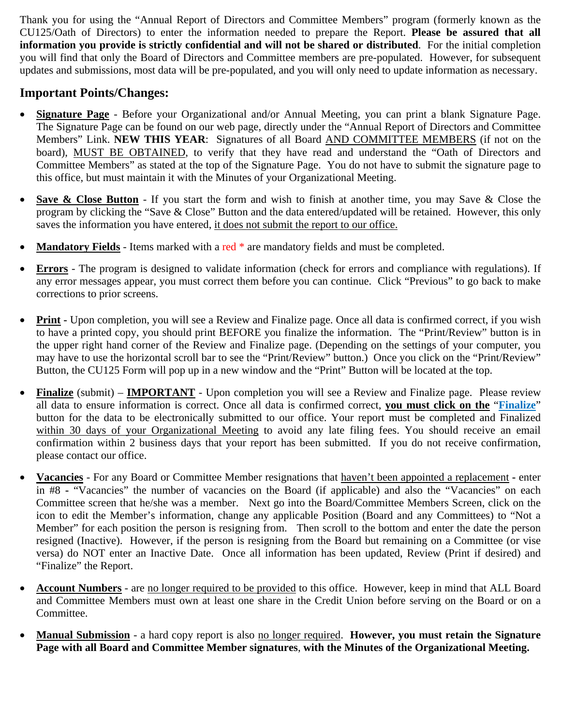Thank you for using the "Annual Report of Directors and Committee Members" program (formerly known as the CU125/Oath of Directors) to enter the information needed to prepare the Report. **Please be assured that all information you provide is strictly confidential and will not be shared or distributed**. For the initial completion you will find that only the Board of Directors and Committee members are pre-populated. However, for subsequent updates and submissions, most data will be pre-populated, and you will only need to update information as necessary.

## **Important Points/Changes:**

- **Signature Page** Before your Organizational and/or Annual Meeting, you can print a blank Signature Page. The Signature Page can be found on our web page, directly under the "Annual Report of Directors and Committee Members" Link. **NEW THIS YEAR**: Signatures of all Board AND COMMITTEE MEMBERS (if not on the board), MUST BE OBTAINED, to verify that they have read and understand the "Oath of Directors and Committee Members" as stated at the top of the Signature Page. You do not have to submit the signature page to this office, but must maintain it with the Minutes of your Organizational Meeting.
- **Save & Close Button**  If you start the form and wish to finish at another time, you may Save & Close the program by clicking the "Save & Close" Button and the data entered/updated will be retained. However, this only saves the information you have entered, it does not submit the report to our office.
- **Mandatory Fields** Items marked with a red \* are mandatory fields and must be completed.
- **Errors** The program is designed to validate information (check for errors and compliance with regulations). If any error messages appear, you must correct them before you can continue. Click "Previous" to go back to make corrections to prior screens.
- Print Upon completion, you will see a Review and Finalize page. Once all data is confirmed correct, if you wish to have a printed copy, you should print BEFORE you finalize the information. The "Print/Review" button is in the upper right hand corner of the Review and Finalize page. (Depending on the settings of your computer, you may have to use the horizontal scroll bar to see the "Print/Review" button.) Once you click on the "Print/Review" Button, the CU125 Form will pop up in a new window and the "Print" Button will be located at the top.
- Finalize (submit) **IMPORTANT** Upon completion you will see a Review and Finalize page. Please review all data to ensure information is correct. Once all data is confirmed correct, **you must click on the** "**Finalize**" button for the data to be electronically submitted to our office. Your report must be completed and Finalized within 30 days of your Organizational Meeting to avoid any late filing fees. You should receive an email confirmation within 2 business days that your report has been submitted. If you do not receive confirmation, please contact our office.
- **Vacancies** For any Board or Committee Member resignations that haven't been appointed a replacement **-** enter in #8 **-** "Vacancies" the number of vacancies on the Board (if applicable) and also the "Vacancies" on each Committee screen that he/she was a member. Next go into the Board/Committee Members Screen, click on the icon to edit the Member's information, change any applicable Position (Board and any Committees) to "Not a Member" for each position the person is resigning from. Then scroll to the bottom and enter the date the person resigned (Inactive). However, if the person is resigning from the Board but remaining on a Committee (or vise versa) do NOT enter an Inactive Date. Once all information has been updated, Review (Print if desired) and "Finalize" the Report.
- **Account Numbers** are no longer required to be provided to this office. However, keep in mind that ALL Board and Committee Members must own at least one share in the Credit Union before serving on the Board or on a Committee.
- **Manual Submission** a hard copy report is also no longer required. **However, you must retain the Signature Page with all Board and Committee Member signatures**, **with the Minutes of the Organizational Meeting.**